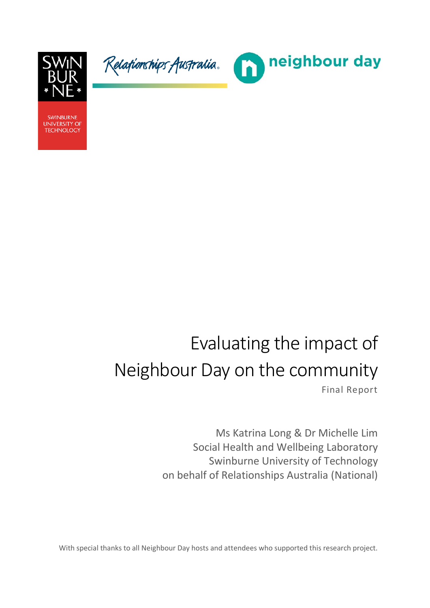

Relafionships Australia.



**SWINBURNE UNIVERSITY OF TECHNOLOGY** 

# Evaluating the impact of Neighbour Day on the community

Final Report

Ms Katrina Long & Dr Michelle Lim Social Health and Wellbeing Laboratory Swinburne University of Technology on behalf of Relationships Australia (National)

With special thanks to all Neighbour Day hosts and attendees who supported this research project.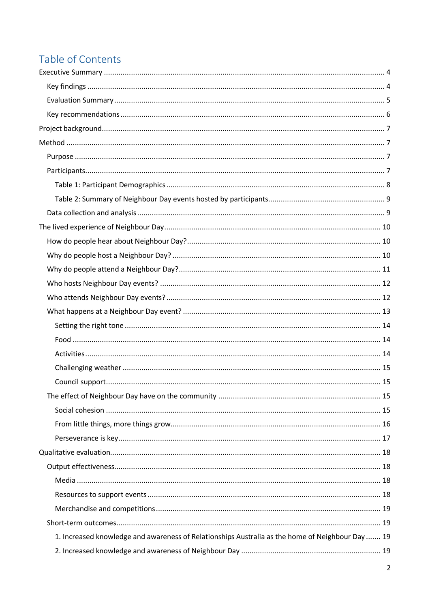# Table of Contents

| 1. Increased knowledge and awareness of Relationships Australia as the home of Neighbour Day  19 |  |
|--------------------------------------------------------------------------------------------------|--|
|                                                                                                  |  |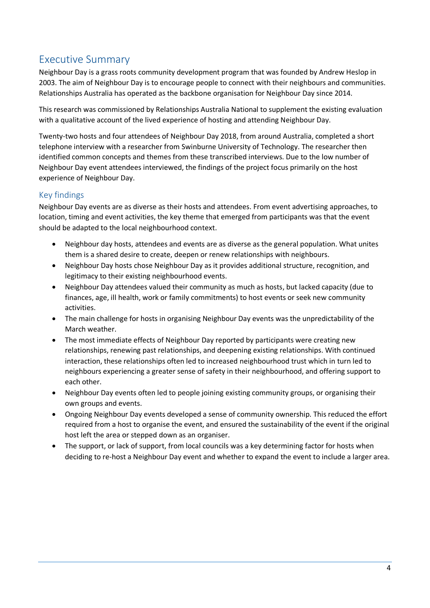## <span id="page-3-0"></span>Executive Summary

Neighbour Day is a grass roots community development program that was founded by Andrew Heslop in 2003. The aim of Neighbour Day is to encourage people to connect with their neighbours and communities. Relationships Australia has operated as the backbone organisation for Neighbour Day since 2014.

This research was commissioned by Relationships Australia National to supplement the existing evaluation with a qualitative account of the lived experience of hosting and attending Neighbour Day.

Twenty-two hosts and four attendees of Neighbour Day 2018, from around Australia, completed a short telephone interview with a researcher from Swinburne University of Technology. The researcher then identified common concepts and themes from these transcribed interviews. Due to the low number of Neighbour Day event attendees interviewed, the findings of the project focus primarily on the host experience of Neighbour Day.

#### <span id="page-3-1"></span>Key findings

Neighbour Day events are as diverse as their hosts and attendees. From event advertising approaches, to location, timing and event activities, the key theme that emerged from participants was that the event should be adapted to the local neighbourhood context.

- Neighbour day hosts, attendees and events are as diverse as the general population. What unites them is a shared desire to create, deepen or renew relationships with neighbours.
- Neighbour Day hosts chose Neighbour Day as it provides additional structure, recognition, and legitimacy to their existing neighbourhood events.
- Neighbour Day attendees valued their community as much as hosts, but lacked capacity (due to finances, age, ill health, work or family commitments) to host events or seek new community activities.
- The main challenge for hosts in organising Neighbour Day events was the unpredictability of the March weather.
- The most immediate effects of Neighbour Day reported by participants were creating new relationships, renewing past relationships, and deepening existing relationships. With continued interaction, these relationships often led to increased neighbourhood trust which in turn led to neighbours experiencing a greater sense of safety in their neighbourhood, and offering support to each other.
- Neighbour Day events often led to people joining existing community groups, or organising their own groups and events.
- Ongoing Neighbour Day events developed a sense of community ownership. This reduced the effort required from a host to organise the event, and ensured the sustainability of the event if the original host left the area or stepped down as an organiser.
- The support, or lack of support, from local councils was a key determining factor for hosts when deciding to re-host a Neighbour Day event and whether to expand the event to include a larger area.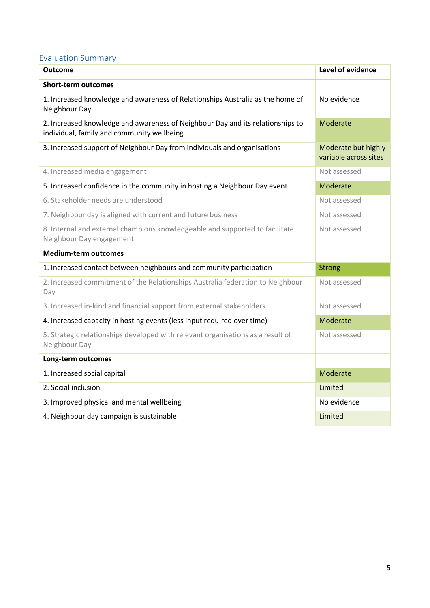## <span id="page-4-0"></span>Evaluation Summary

| <b>Outcome</b>                                                                                                               | <b>Level of evidence</b>                     |
|------------------------------------------------------------------------------------------------------------------------------|----------------------------------------------|
| <b>Short-term outcomes</b>                                                                                                   |                                              |
| 1. Increased knowledge and awareness of Relationships Australia as the home of<br>Neighbour Day                              | No evidence                                  |
| 2. Increased knowledge and awareness of Neighbour Day and its relationships to<br>individual, family and community wellbeing | Moderate                                     |
| 3. Increased support of Neighbour Day from individuals and organisations                                                     | Moderate but highly<br>variable across sites |
| 4. Increased media engagement                                                                                                | Not assessed                                 |
| 5. Increased confidence in the community in hosting a Neighbour Day event                                                    | Moderate                                     |
| 6. Stakeholder needs are understood                                                                                          | Not assessed                                 |
| 7. Neighbour day is aligned with current and future business                                                                 | Not assessed                                 |
| 8. Internal and external champions knowledgeable and supported to facilitate<br>Neighbour Day engagement                     | Not assessed                                 |
| <b>Medium-term outcomes</b>                                                                                                  |                                              |
| 1. Increased contact between neighbours and community participation                                                          | <b>Strong</b>                                |
| 2. Increased commitment of the Relationships Australia federation to Neighbour<br>Day                                        | Not assessed                                 |
| 3. Increased in-kind and financial support from external stakeholders                                                        | Not assessed                                 |
| 4. Increased capacity in hosting events (less input required over time)                                                      | Moderate                                     |
| 5. Strategic relationships developed with relevant organisations as a result of<br>Neighbour Day                             | Not assessed                                 |
| Long-term outcomes                                                                                                           |                                              |
| 1. Increased social capital                                                                                                  | Moderate                                     |
| 2. Social inclusion                                                                                                          | Limited                                      |
| 3. Improved physical and mental wellbeing                                                                                    | No evidence                                  |
| 4. Neighbour day campaign is sustainable                                                                                     | Limited                                      |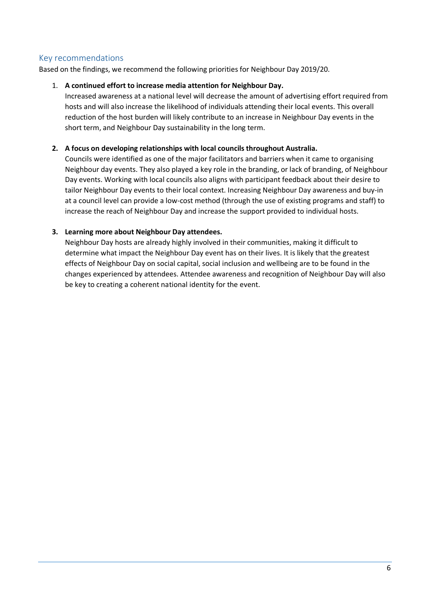#### <span id="page-5-0"></span>Key recommendations

Based on the findings, we recommend the following priorities for Neighbour Day 2019/20.

#### 1. **A continued effort to increase media attention for Neighbour Day.**

Increased awareness at a national level will decrease the amount of advertising effort required from hosts and will also increase the likelihood of individuals attending their local events. This overall reduction of the host burden will likely contribute to an increase in Neighbour Day events in the short term, and Neighbour Day sustainability in the long term.

#### **2. A focus on developing relationships with local councils throughout Australia.**

Councils were identified as one of the major facilitators and barriers when it came to organising Neighbour day events. They also played a key role in the branding, or lack of branding, of Neighbour Day events. Working with local councils also aligns with participant feedback about their desire to tailor Neighbour Day events to their local context. Increasing Neighbour Day awareness and buy-in at a council level can provide a low-cost method (through the use of existing programs and staff) to increase the reach of Neighbour Day and increase the support provided to individual hosts.

#### **3. Learning more about Neighbour Day attendees.**

Neighbour Day hosts are already highly involved in their communities, making it difficult to determine what impact the Neighbour Day event has on their lives. It is likely that the greatest effects of Neighbour Day on social capital, social inclusion and wellbeing are to be found in the changes experienced by attendees. Attendee awareness and recognition of Neighbour Day will also be key to creating a coherent national identity for the event.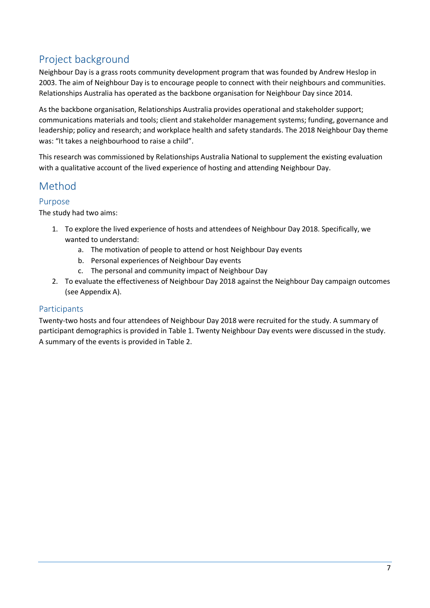# <span id="page-6-0"></span>Project background

Neighbour Day is a grass roots community development program that was founded by Andrew Heslop in 2003. The aim of Neighbour Day is to encourage people to connect with their neighbours and communities. Relationships Australia has operated as the backbone organisation for Neighbour Day since 2014.

As the backbone organisation, Relationships Australia provides operational and stakeholder support; communications materials and tools; client and stakeholder management systems; funding, governance and leadership; policy and research; and workplace health and safety standards. The 2018 Neighbour Day theme was: "It takes a neighbourhood to raise a child".

This research was commissioned by Relationships Australia National to supplement the existing evaluation with a qualitative account of the lived experience of hosting and attending Neighbour Day.

## <span id="page-6-1"></span>Method

#### <span id="page-6-2"></span>Purpose

The study had two aims:

- 1. To explore the lived experience of hosts and attendees of Neighbour Day 2018. Specifically, we wanted to understand:
	- a. The motivation of people to attend or host Neighbour Day events
	- b. Personal experiences of Neighbour Day events
	- c. The personal and community impact of Neighbour Day
- 2. To evaluate the effectiveness of Neighbour Day 2018 against the Neighbour Day campaign outcomes (see Appendix A).

## <span id="page-6-3"></span>Participants

Twenty-two hosts and four attendees of Neighbour Day 2018 were recruited for the study. A summary of participant demographics is provided in Table 1. Twenty Neighbour Day events were discussed in the study. A summary of the events is provided in Table 2.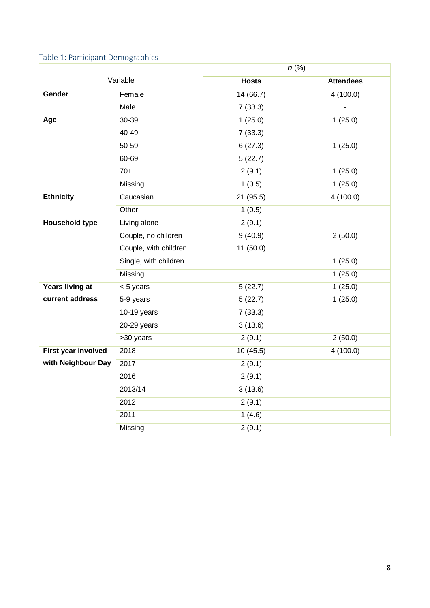## <span id="page-7-0"></span>Table 1: Participant Demographics

|                            |                       | $n$ (%)      |                  |
|----------------------------|-----------------------|--------------|------------------|
|                            | Variable              | <b>Hosts</b> | <b>Attendees</b> |
| Gender                     | Female                | 14 (66.7)    | 4(100.0)         |
|                            | <b>Male</b>           | 7(33.3)      |                  |
| Age                        | 30-39                 | 1(25.0)      | 1(25.0)          |
|                            | 40-49                 | 7(33.3)      |                  |
|                            | 50-59                 | 6(27.3)      | 1(25.0)          |
|                            | 60-69                 | 5(22.7)      |                  |
|                            | $70+$                 | 2(9.1)       | 1(25.0)          |
|                            | Missing               | 1(0.5)       | 1(25.0)          |
| <b>Ethnicity</b>           | Caucasian             | 21 (95.5)    | 4(100.0)         |
|                            | Other                 | 1(0.5)       |                  |
| <b>Household type</b>      | Living alone          | 2(9.1)       |                  |
|                            | Couple, no children   | 9(40.9)      | 2(50.0)          |
|                            | Couple, with children | 11(50.0)     |                  |
|                            | Single, with children |              | 1(25.0)          |
|                            | Missing               |              | 1(25.0)          |
| Years living at            | < 5 years             | 5(22.7)      | 1(25.0)          |
| current address            | 5-9 years             | 5(22.7)      | 1(25.0)          |
|                            | 10-19 years           | 7(33.3)      |                  |
|                            | 20-29 years           | 3(13.6)      |                  |
|                            | >30 years             | 2(9.1)       | 2(50.0)          |
| <b>First year involved</b> | 2018                  | 10(45.5)     | 4(100.0)         |
| with Neighbour Day         | 2017                  | 2(9.1)       |                  |
|                            | 2016                  | 2(9.1)       |                  |
|                            | 2013/14               | 3(13.6)      |                  |
|                            | 2012                  | 2(9.1)       |                  |
|                            | 2011                  | 1(4.6)       |                  |
|                            | Missing               | 2(9.1)       |                  |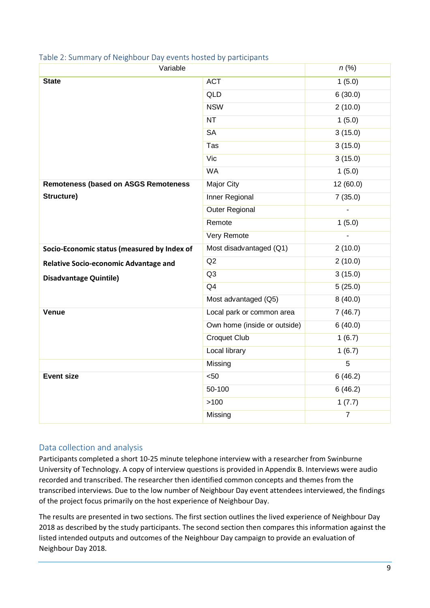| Variable                                     | $n$ (%)                      |                |
|----------------------------------------------|------------------------------|----------------|
| <b>State</b>                                 | <b>ACT</b>                   | 1(5.0)         |
|                                              | <b>QLD</b>                   | 6(30.0)        |
|                                              | <b>NSW</b>                   | 2(10.0)        |
|                                              | <b>NT</b>                    | 1(5.0)         |
|                                              | <b>SA</b>                    | 3(15.0)        |
|                                              | <b>Tas</b>                   | 3(15.0)        |
|                                              | Vic                          | 3(15.0)        |
|                                              | <b>WA</b>                    | 1(5.0)         |
| <b>Remoteness (based on ASGS Remoteness</b>  | Major City                   | 12 (60.0)      |
| Structure)                                   | Inner Regional               | 7(35.0)        |
|                                              | <b>Outer Regional</b>        |                |
|                                              | Remote                       | 1(5.0)         |
|                                              | Very Remote                  |                |
| Socio-Economic status (measured by Index of  | Most disadvantaged (Q1)      | 2(10.0)        |
| <b>Relative Socio-economic Advantage and</b> | Q2                           | 2(10.0)        |
| <b>Disadvantage Quintile)</b>                | Q <sub>3</sub>               | 3(15.0)        |
|                                              | Q <sub>4</sub>               | 5(25.0)        |
|                                              | Most advantaged (Q5)         | 8(40.0)        |
| <b>Venue</b>                                 | Local park or common area    | 7(46.7)        |
|                                              | Own home (inside or outside) | 6(40.0)        |
|                                              | <b>Croquet Club</b>          | 1(6.7)         |
|                                              | <b>Local library</b>         | 1(6.7)         |
|                                              | Missing                      | $\overline{5}$ |
| <b>Event size</b>                            | < 50                         | 6(46.2)        |
|                                              | 50-100                       | 6(46.2)        |
|                                              | $>100$                       | 1(7.7)         |
|                                              | Missing                      | $\overline{7}$ |

#### <span id="page-8-0"></span>Table 2: Summary of Neighbour Day events hosted by participants

#### <span id="page-8-1"></span>Data collection and analysis

Participants completed a short 10-25 minute telephone interview with a researcher from Swinburne University of Technology. A copy of interview questions is provided in Appendix B. Interviews were audio recorded and transcribed. The researcher then identified common concepts and themes from the transcribed interviews. Due to the low number of Neighbour Day event attendees interviewed, the findings of the project focus primarily on the host experience of Neighbour Day.

The results are presented in two sections. The first section outlines the lived experience of Neighbour Day 2018 as described by the study participants. The second section then compares this information against the listed intended outputs and outcomes of the Neighbour Day campaign to provide an evaluation of Neighbour Day 2018.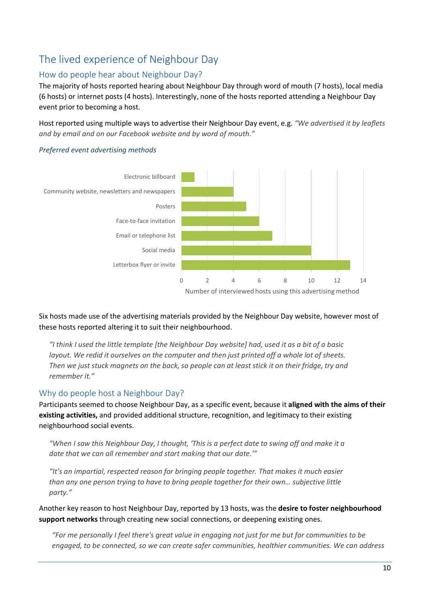# <span id="page-9-0"></span>The lived experience of Neighbour Day

## <span id="page-9-1"></span>How do people hear about Neighbour Day?

The majority of hosts reported hearing about Neighbour Day through word of mouth (7 hosts), local media (6 hosts) or internet posts (4 hosts). Interestingly, none of the hosts reported attending a Neighbour Day event prior to becoming a host.

Host reported using multiple ways to advertise their Neighbour Day event, e.g. *"We advertised it by leaflets and by email and on our Facebook website and by word of mouth."*

#### *Preferred event advertising methods*



Six hosts made use of the advertising materials provided by the Neighbour Day website, however most of these hosts reported altering it to suit their neighbourhood.

*"I think I used the little template [the Neighbour Day website] had, used it as a bit of a basic layout. We redid it ourselves on the computer and then just printed off a whole lot of sheets. Then we just stuck magnets on the back, so people can at least stick it on their fridge, try and remember it."* 

## <span id="page-9-2"></span>Why do people host a Neighbour Day?

Participants seemed to choose Neighbour Day, as a specific event, because it **aligned with the aims of their existing activities,** and provided additional structure, recognition, and legitimacy to their existing neighbourhood social events.

*"When I saw this Neighbour Day, I thought, 'This is a perfect date to swing off and make it a date that we can all remember and start making that our date.'"*

*"It's an impartial, respected reason for bringing people together. That makes it much easier than any one person trying to have to bring people together for their own… subjective little party."*

Another key reason to host Neighbour Day, reported by 13 hosts, was the **desire to foster neighbourhood support networks** through creating new social connections, or deepening existing ones.

*"For me personally I feel there's great value in engaging not just for me but for communities to be engaged, to be connected, so we can create safer communities, healthier communities. We can address*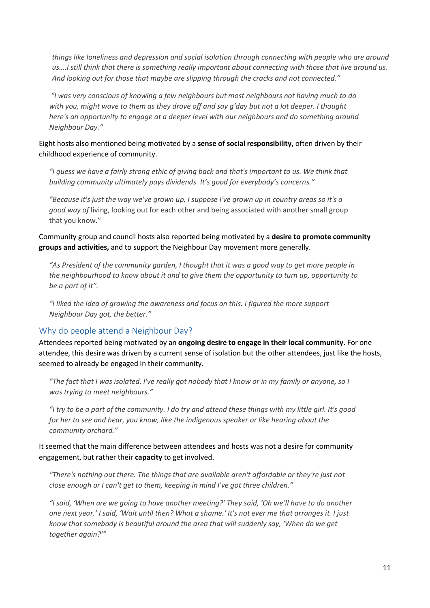*things like loneliness and depression and social isolation through connecting with people who are around us….I still think that there is something really important about connecting with those that live around us. And looking out for those that maybe are slipping through the cracks and not connected."* 

 *"I was very conscious of knowing a few neighbours but most neighbours not having much to do with you, might wave to them as they drove off and say g'day but not a lot deeper. I thought here's an opportunity to engage at a deeper level with our neighbours and do something around Neighbour Day."* 

Eight hosts also mentioned being motivated by a **sense of social responsibility,** often driven by their childhood experience of community.

*"I guess we have a fairly strong ethic of giving back and that's important to us. We think that building community ultimately pays dividends. It's good for everybody's concerns."* 

*"Because it's just the way we've grown up. I suppose I've grown up in country areas so it's a good way of* living, looking out for each other and being associated with another small group that you know."

Community group and council hosts also reported being motivated by a **desire to promote community groups and activities,** and to support the Neighbour Day movement more generally.

*"As President of the community garden, I thought that it was a good way to get more people in the neighbourhood to know about it and to give them the opportunity to turn up, opportunity to be a part of it".* 

*"I liked the idea of growing the awareness and focus on this. I figured the more support Neighbour Day got, the better."* 

#### <span id="page-10-0"></span>Why do people attend a Neighbour Day?

Attendees reported being motivated by an **ongoing desire to engage in their local community.** For one attendee, this desire was driven by a current sense of isolation but the other attendees, just like the hosts, seemed to already be engaged in their community.

*"The fact that I was isolated. I've really got nobody that I know or in my family or anyone, so I was trying to meet neighbours."* 

*"I try to be a part of the community. I do try and attend these things with my little girl. It's good for her to see and hear, you know, like the indigenous speaker or like hearing about the community orchard."*

#### It seemed that the main difference between attendees and hosts was not a desire for community engagement, but rather their **capacity** to get involved.

*"There's nothing out there. The things that are available aren't affordable or they're just not close enough or I can't get to them, keeping in mind I've got three children."* 

*"I said, 'When are we going to have another meeting?' They said, 'Oh we'll have to do another one next year.' I said, 'Wait until then? What a shame.' It's not ever me that arranges it. I just know that somebody is beautiful around the area that will suddenly say, 'When do we get together again?'"*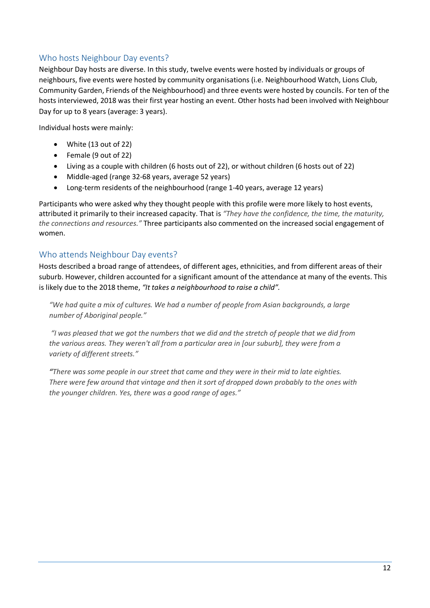## <span id="page-11-0"></span>Who hosts Neighbour Day events?

Neighbour Day hosts are diverse. In this study, twelve events were hosted by individuals or groups of neighbours, five events were hosted by community organisations (i.e. Neighbourhood Watch, Lions Club, Community Garden, Friends of the Neighbourhood) and three events were hosted by councils. For ten of the hosts interviewed, 2018 was their first year hosting an event. Other hosts had been involved with Neighbour Day for up to 8 years (average: 3 years).

Individual hosts were mainly:

- White (13 out of 22)
- Female (9 out of 22)
- Living as a couple with children (6 hosts out of 22), or without children (6 hosts out of 22)
- Middle-aged (range 32-68 years, average 52 years)
- Long-term residents of the neighbourhood (range 1-40 years, average 12 years)

Participants who were asked why they thought people with this profile were more likely to host events, attributed it primarily to their increased capacity. That is *"They have the confidence, the time, the maturity, the connections and resources."* Three participants also commented on the increased social engagement of women.

#### <span id="page-11-1"></span>Who attends Neighbour Day events?

Hosts described a broad range of attendees, of different ages, ethnicities, and from different areas of their suburb. However, children accounted for a significant amount of the attendance at many of the events. This is likely due to the 2018 theme, *"It takes a neighbourhood to raise a child".*

*"We had quite a mix of cultures. We had a number of people from Asian backgrounds, a large number of Aboriginal people."*

 *"I was pleased that we got the numbers that we did and the stretch of people that we did from the various areas. They weren't all from a particular area in [our suburb], they were from a variety of different streets."* 

*"There was some people in our street that came and they were in their mid to late eighties. There were few around that vintage and then it sort of dropped down probably to the ones with the younger children. Yes, there was a good range of ages."*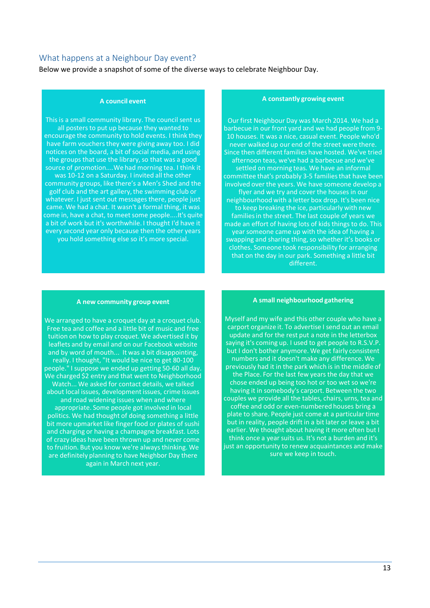#### <span id="page-12-0"></span>What happens at a Neighbour Day event?

Below we provide a snapshot of some of the diverse ways to celebrate Neighbour Day.

#### **A council event**

This is a small community library. The council sent us all posters to put up because they wanted to encourage the community to hold events. I think they have farm vouchers they were giving away too. I did notices on the board, a bit of social media, and using the groups that use the library, so that was a good source of promotion....We had morning tea. I think it was 10-12 on a Saturday. I invited all the other community groups, like there's a Men's Shed and the golf club and the art gallery, the swimming club or whatever. I just sent out messages there, people just came. We had a chat. It wasn't a formal thing, it was come in, have a chat, to meet some people....It's quite a bit of work but it's worthwhile. I thought I'd have it every second year only because then the other years you hold something else so it's more special.

#### **A constantly growing event**

Our first Neighbour Day was March 2014. We had a barbecue in our front yard and we had people from 9- 10 houses. It was a nice, casual event. People who'd never walked up our end of the street were there. Since then different families have hosted. We've tried afternoon teas, we've had a barbecue and we've settled on morning teas. We have an informal committee that's probably 3-5 families that have been involved over the years. We have someone develop a flyer and we try and cover the houses in our neighbourhood with a letter box drop. It's been nice to keep breaking the ice, particularly with new families in the street. The last couple of years we made an effort of having lots of kids things to do. This year someone came up with the idea of having a swapping and sharing thing, so whether it's books or clothes. Someone took responsibility for arranging that on the day in our park. Something a little bit different.

#### **A new community group event**

We arranged to have a croquet day at a croquet club. Free tea and coffee and a little bit of music and free tuition on how to play croquet. We advertised it by leaflets and by email and on our Facebook website and by word of mouth... It was a bit disappointing, really. I thought, "It would be nice to get 80-100 people." I suppose we ended up getting 50-60 all day. We charged \$2 entry and that went to Neighborhood Watch... We asked for contact details, we talked about local issues, development issues, crime issues and road widening issues when and where appropriate. Some people got involved in local politics. We had thought of doing something a little bit more upmarket like finger food or plates of sushi and charging or having a champagne breakfast. Lots of crazy ideas have been thrown up and never come to fruition. But you know we're always thinking. We are definitely planning to have Neighbor Day there again in March next year.

#### **A small neighbourhood gathering**

Myself and my wife and this other couple who have a carport organize it. To advertise I send out an email update and for the rest put a note in the letterbox saying it's coming up. I used to get people to R.S.V.P. but I don't bother anymore. We get fairly consistent numbers and it doesn't make any difference. We previously had it in the park which is in the middle of the Place. For the last few years the day that we chose ended up being too hot or too wet so we're having it in somebody's carport. Between the two couples we provide all the tables, chairs, urns, tea and coffee and odd or even-numbered houses bring a plate to share. People just come at a particular time but in reality, people drift in a bit later or leave a bit earlier. We thought about having it more often but I think once a year suits us. It's not a burden and it's just an opportunity to renew acquaintances and make sure we keep in touch.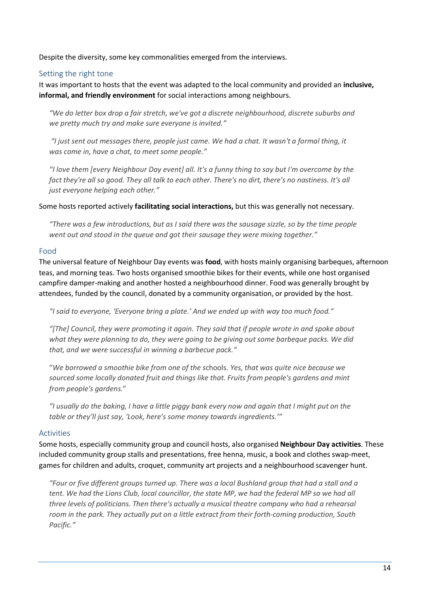Despite the diversity, some key commonalities emerged from the interviews.

#### <span id="page-13-0"></span>Setting the right tone

It was important to hosts that the event was adapted to the local community and provided an **inclusive, informal, and friendly environment** for social interactions among neighbours.

*"We do letter box drop a fair stretch, we've got a discrete neighbourhood, discrete suburbs and we pretty much try and make sure everyone is invited."* 

*"I just sent out messages there, people just came. We had a chat. It wasn't a formal thing, it was come in, have a chat, to meet some people."* 

*"I love them [every Neighbour Day event] all. It's a funny thing to say but I'm overcome by the fact they're all so good. They all talk to each other. There's no dirt, there's no nastiness. It's all just everyone helping each other."*

#### Some hosts reported actively **facilitating social interactions,** but this was generally not necessary.

*"There was a few introductions, but as I said there was the sausage sizzle, so by the time people went out and stood in the queue and got their sausage they were mixing together."* 

#### <span id="page-13-1"></span>Food

The universal feature of Neighbour Day events was **food**, with hosts mainly organising barbeques, afternoon teas, and morning teas. Two hosts organised smoothie bikes for their events, while one host organised campfire damper-making and another hosted a neighbourhood dinner. Food was generally brought by attendees, funded by the council, donated by a community organisation, or provided by the host.

*"I said to everyone, 'Everyone bring a plate.' And we ended up with way too much food."* 

*"[The] Council, they were promoting it again. They said that if people wrote in and spoke about what they were planning to do, they were going to be giving out some barbeque packs. We did that, and we were successful in winning a barbecue pack."* 

"*We borrowed a smoothie bike from one of the s*chools. *Yes, that was quite nice because we sourced some locally donated fruit and things like that. Fruits from people's gardens and mint from people's gardens.*"

*"I usually do the baking, I have a little piggy bank every now and again that I might put on the table or they'll just say, 'Look, here's some money towards ingredients.'"*

#### <span id="page-13-2"></span>Activities

Some hosts, especially community group and council hosts, also organised **Neighbour Day activities**. These included community group stalls and presentations, free henna, music, a book and clothes swap-meet, games for children and adults, croquet, community art projects and a neighbourhood scavenger hunt.

*"Four or five different groups turned up. There was a local Bushland group that had a stall and a tent. We had the Lions Club, local councillor, the state MP, we had the federal MP so we had all three levels of politicians. Then there's actually a musical theatre company who had a rehearsal room in the park. They actually put on a little extract from their forth-coming production, South Pacific."*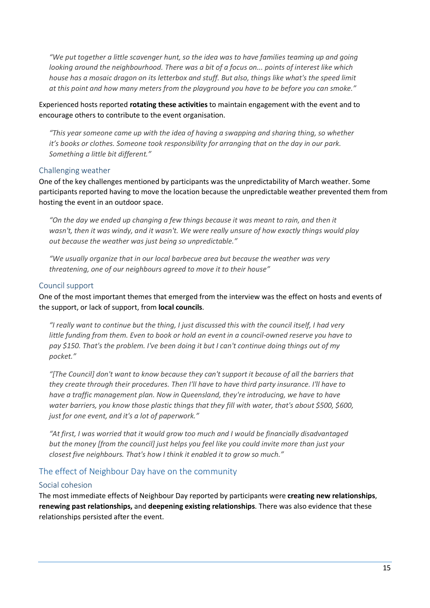*"We put together a little scavenger hunt, so the idea was to have families teaming up and going looking around the neighbourhood. There was a bit of a focus on... points of interest like which house has a mosaic dragon on its letterbox and stuff. But also, things like what's the speed limit at this point and how many meters from the playground you have to be before you can smoke."*

Experienced hosts reported **rotating these activities** to maintain engagement with the event and to encourage others to contribute to the event organisation.

*"This year someone came up with the idea of having a swapping and sharing thing, so whether it's books or clothes. Someone took responsibility for arranging that on the day in our park. Something a little bit different."*

#### <span id="page-14-0"></span>Challenging weather

One of the key challenges mentioned by participants was the unpredictability of March weather. Some participants reported having to move the location because the unpredictable weather prevented them from hosting the event in an outdoor space.

*"On the day we ended up changing a few things because it was meant to rain, and then it wasn't, then it was windy, and it wasn't. We were really unsure of how exactly things would play out because the weather was just being so unpredictable."*

*"We usually organize that in our local barbecue area but because the weather was very threatening, one of our neighbours agreed to move it to their house"* 

#### <span id="page-14-1"></span>Council support

One of the most important themes that emerged from the interview was the effect on hosts and events of the support, or lack of support, from **local councils**.

*"I really want to continue but the thing, I just discussed this with the council itself, I had very little funding from them. Even to book or hold an event in a council-owned reserve you have to pay \$150. That's the problem. I've been doing it but I can't continue doing things out of my pocket."*

*"[The Council] don't want to know because they can't support it because of all the barriers that they create through their procedures. Then I'll have to have third party insurance. I'll have to have a traffic management plan. Now in Queensland, they're introducing, we have to have water barriers, you know those plastic things that they fill with water, that's about \$500, \$600, just for one event, and it's a lot of paperwork."* 

*"At first, I was worried that it would grow too much and I would be financially disadvantaged but the money [from the council] just helps you feel like you could invite more than just your closest five neighbours. That's how I think it enabled it to grow so much."* 

#### <span id="page-14-2"></span>The effect of Neighbour Day have on the community

#### <span id="page-14-3"></span>Social cohesion

The most immediate effects of Neighbour Day reported by participants were **creating new relationships**, **renewing past relationships,** and **deepening existing relationships**. There was also evidence that these relationships persisted after the event.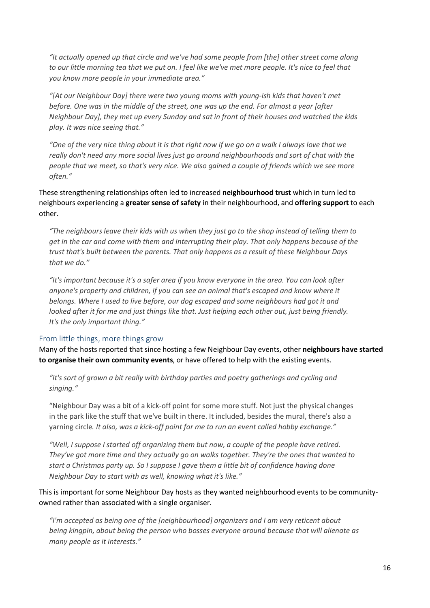*"It actually opened up that circle and we've had some people from [the] other street come along to our little morning tea that we put on. I feel like we've met more people. It's nice to feel that you know more people in your immediate area."*

*"[At our Neighbour Day] there were two young moms with young-ish kids that haven't met before. One was in the middle of the street, one was up the end. For almost a year [after Neighbour Day], they met up every Sunday and sat in front of their houses and watched the kids play. It was nice seeing that."*

*"One of the very nice thing about it is that right now if we go on a walk I always love that we really don't need any more social lives just go around neighbourhoods and sort of chat with the people that we meet, so that's very nice. We also gained a couple of friends which we see more often."*

These strengthening relationships often led to increased **neighbourhood trust** which in turn led to neighbours experiencing a **greater sense of safety** in their neighbourhood, and **offering support** to each other.

*"The neighbours leave their kids with us when they just go to the shop instead of telling them to get in the car and come with them and interrupting their play. That only happens because of the trust that's built between the parents. That only happens as a result of these Neighbour Days that we do."*

*"It's important because it's a safer area if you know everyone in the area. You can look after anyone's property and children, if you can see an animal that's escaped and know where it belongs. Where I used to live before, our dog escaped and some neighbours had got it and looked after it for me and just things like that. Just helping each other out, just being friendly. It's the only important thing."*

#### <span id="page-15-0"></span>From little things, more things grow

Many of the hosts reported that since hosting a few Neighbour Day events, other **neighbours have started to organise their own community events**, or have offered to help with the existing events.

*"It's sort of grown a bit really with birthday parties and poetry gatherings and cycling and singing."*

"Neighbour Day was a bit of a kick-off point for some more stuff. Not just the physical changes in the park like the stuff that we've built in there. It included, besides the mural, there's also a yarning circle*. It also, was a kick-off point for me to run an event called hobby exchange."* 

*"Well, I suppose I started off organizing them but now, a couple of the people have retired. They've got more time and they actually go on walks together. They're the ones that wanted to start a Christmas party up. So I suppose I gave them a little bit of confidence having done Neighbour Day to start with as well, knowing what it's like."*

This is important for some Neighbour Day hosts as they wanted neighbourhood events to be communityowned rather than associated with a single organiser.

*"I'm accepted as being one of the [neighbourhood] organizers and I am very reticent about being kingpin, about being the person who bosses everyone around because that will alienate as many people as it interests."*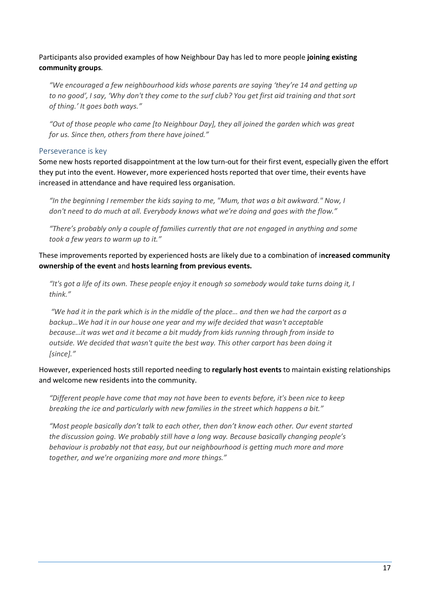Participants also provided examples of how Neighbour Day has led to more people **joining existing community groups**.

*"We encouraged a few neighbourhood kids whose parents are saying 'they're 14 and getting up to no good', I say, 'Why don't they come to the surf club? You get first aid training and that sort of thing.' It goes both ways."*

*"Out of those people who came [to Neighbour Day], they all joined the garden which was great for us. Since then, others from there have joined."*

#### <span id="page-16-0"></span>Perseverance is key

Some new hosts reported disappointment at the low turn-out for their first event, especially given the effort they put into the event. However, more experienced hosts reported that over time, their events have increased in attendance and have required less organisation.

*"In the beginning I remember the kids saying to me, "Mum, that was a bit awkward." Now, I don't need to do much at all. Everybody knows what we're doing and goes with the flow."*

*"There's probably only a couple of families currently that are not engaged in anything and some took a few years to warm up to it."*

These improvements reported by experienced hosts are likely due to a combination of i**ncreased community ownership of the event** and **hosts learning from previous events.**

*"It's got a life of its own. These people enjoy it enough so somebody would take turns doing it, I think."*

*"We had it in the park which is in the middle of the place… and then we had the carport as a backup…We had it in our house one year and my wife decided that wasn't acceptable because…it was wet and it became a bit muddy from kids running through from inside to outside. We decided that wasn't quite the best way. This other carport has been doing it [since]."*

However, experienced hosts still reported needing to **regularly host events** to maintain existing relationships and welcome new residents into the community.

*"Different people have come that may not have been to events before, it's been nice to keep breaking the ice and particularly with new families in the street which happens a bit."*

*"Most people basically don't talk to each other, then don't know each other. Our event started the discussion going. We probably still have a long way. Because basically changing people's behaviour is probably not that easy, but our neighbourhood is getting much more and more together, and we're organizing more and more things."*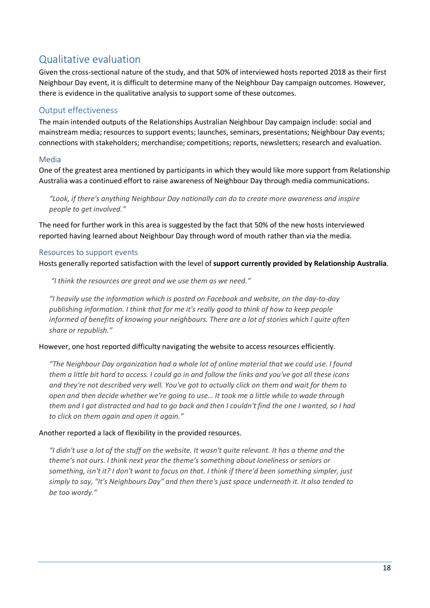## <span id="page-17-0"></span>Qualitative evaluation

Given the cross-sectional nature of the study, and that 50% of interviewed hosts reported 2018 as their first Neighbour Day event, it is difficult to determine many of the Neighbour Day campaign outcomes. However, there is evidence in the qualitative analysis to support some of these outcomes.

## <span id="page-17-1"></span>Output effectiveness

The main intended outputs of the Relationships Australian Neighbour Day campaign include: social and mainstream media; resources to support events; launches, seminars, presentations; Neighbour Day events; connections with stakeholders; merchandise; competitions; reports, newsletters; research and evaluation.

#### <span id="page-17-2"></span>Media

One of the greatest area mentioned by participants in which they would like more support from Relationship Australia was a continued effort to raise awareness of Neighbour Day through media communications.

*"Look, if there's anything Neighbour Day nationally can do to create more awareness and inspire people to get involved."*

The need for further work in this area is suggested by the fact that 50% of the new hosts interviewed reported having learned about Neighbour Day through word of mouth rather than via the media.

#### <span id="page-17-3"></span>Resources to support events

Hosts generally reported satisfaction with the level of **support currently provided by Relationship Australia**.

*"I think the resources are great and we use them as we need."*

*"I heavily use the information which is posted on Facebook and website, on the day-to-day publishing information. I think that for me it's really good to think of how to keep people informed of benefits of knowing your neighbours. There are a lot of stories which I quite often share or republish."*

#### However, one host reported difficulty navigating the website to access resources efficiently.

*"The Neighbour Day organization had a whole lot of online material that we could use. I found them a little bit hard to access. I could go in and follow the links and you've got all these icons and they're not described very well. You've got to actually click on them and wait for them to open and then decide whether we're going to use… It took me a little while to wade through them and I got distracted and had to go back and then I couldn't find the one I wanted, so I had to click on them again and open it again."*

#### Another reported a lack of flexibility in the provided resources.

*"I didn't use a lot of the stuff on the website. It wasn't quite relevant. It has a theme and the theme's not ours. I think next year the theme's something about loneliness or seniors or something, isn't it? I don't want to focus on that. I think if there'd been something simpler, just simply to say, "It's Neighbours Day" and then there's just space underneath it. It also tended to be too wordy."*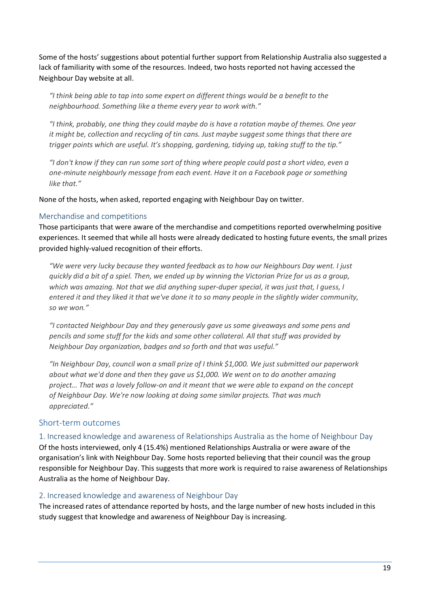Some of the hosts' suggestions about potential further support from Relationship Australia also suggested a lack of familiarity with some of the resources. Indeed, two hosts reported not having accessed the Neighbour Day website at all.

*"I think being able to tap into some expert on different things would be a benefit to the neighbourhood. Something like a theme every year to work with."*

*"I think, probably, one thing they could maybe do is have a rotation maybe of themes. One year it might be, collection and recycling of tin cans. Just maybe suggest some things that there are trigger points which are useful. It's shopping, gardening, tidying up, taking stuff to the tip."*

*"I don't know if they can run some sort of thing where people could post a short video, even a one-minute neighbourly message from each event. Have it on a Facebook page or something like that."*

None of the hosts, when asked, reported engaging with Neighbour Day on twitter.

#### <span id="page-18-0"></span>Merchandise and competitions

Those participants that were aware of the merchandise and competitions reported overwhelming positive experiences. It seemed that while all hosts were already dedicated to hosting future events, the small prizes provided highly-valued recognition of their efforts.

*"We were very lucky because they wanted feedback as to how our Neighbours Day went. I just quickly did a bit of a spiel. Then, we ended up by winning the Victorian Prize for us as a group, which was amazing. Not that we did anything super-duper special, it was just that, I guess, I entered it and they liked it that we've done it to so many people in the slightly wider community, so we won."*

*"I contacted Neighbour Day and they generously gave us some giveaways and some pens and pencils and some stuff for the kids and some other collateral. All that stuff was provided by Neighbour Day organization, badges and so forth and that was useful."*

*"In Neighbour Day, council won a small prize of I think \$1,000. We just submitted our paperwork about what we'd done and then they gave us \$1,000. We went on to do another amazing project… That was a lovely follow-on and it meant that we were able to expand on the concept of Neighbour Day. We're now looking at doing some similar projects. That was much appreciated."*

#### <span id="page-18-1"></span>Short-term outcomes

<span id="page-18-2"></span>1. Increased knowledge and awareness of Relationships Australia as the home of Neighbour Day

Of the hosts interviewed, only 4 (15.4%) mentioned Relationships Australia or were aware of the organisation's link with Neighbour Day. Some hosts reported believing that their council was the group responsible for Neighbour Day. This suggests that more work is required to raise awareness of Relationships Australia as the home of Neighbour Day.

#### <span id="page-18-3"></span>2. Increased knowledge and awareness of Neighbour Day

The increased rates of attendance reported by hosts, and the large number of new hosts included in this study suggest that knowledge and awareness of Neighbour Day is increasing.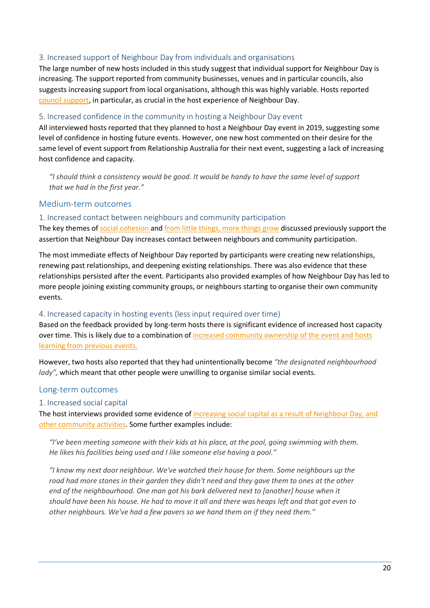#### <span id="page-19-0"></span>3. Increased support of Neighbour Day from individuals and organisations

The large number of new hosts included in this study suggest that individual support for Neighbour Day is increasing. The support reported from community businesses, venues and in particular councils, also suggests increasing support from local organisations, although this was highly variable. Hosts reported [council support,](#page-14-1) in particular, as crucial in the host experience of Neighbour Day.

#### <span id="page-19-1"></span>5. Increased confidence in the community in hosting a Neighbour Day event

All interviewed hosts reported that they planned to host a Neighbour Day event in 2019, suggesting some level of confidence in hosting future events. However, one new host commented on their desire for the same level of event support from Relationship Australia for their next event, suggesting a lack of increasing host confidence and capacity.

*"I should think a consistency would be good. It would be handy to have the same level of support that we had in the first year."*

#### <span id="page-19-2"></span>Medium-term outcomes

#### <span id="page-19-3"></span>1. Increased contact between neighbours and community participation

The key themes o[f social cohesion a](#page-14-3)nd [from little things, more things grow](#page-15-0) discussed previously support the assertion that Neighbour Day increases contact between neighbours and community participation.

The most immediate effects of Neighbour Day reported by participants were creating new relationships, renewing past relationships, and deepening existing relationships. There was also evidence that these relationships persisted after the event. Participants also provided examples of how Neighbour Day has led to more people joining existing community groups, or neighbours starting to organise their own community events.

#### <span id="page-19-4"></span>4. Increased capacity in hosting events (less input required over time)

Based on the feedback provided by long-term hosts there is significant evidence of increased host capacity over time. This is likely due to a combination of increased community ownership of the event and hosts [learning from previous events.](#page-16-0) 

However, two hosts also reported that they had unintentionally become *"the designated neighbourhood lady"*, which meant that other people were unwilling to organise similar social events.

#### <span id="page-19-5"></span>Long-term outcomes

#### <span id="page-19-6"></span>1. Increased social capital

The host interviews provided some evidence of increasing social capital as a result of Neighbour Day, and [other community activities.](#page-14-3) Some further examples include:

*"I've been meeting someone with their kids at his place, at the pool, going swimming with them. He likes his facilities being used and I like someone else having a pool."*

*"I know my next door neighbour. We've watched their house for them. Some neighbours up the road had more stones in their garden they didn't need and they gave them to ones at the other end of the neighbourhood. One man got his bark delivered next to [another] house when it should have been his house. He had to move it all and there was heaps left and that got even to other neighbours. We've had a few pavers so we hand them on if they need them."*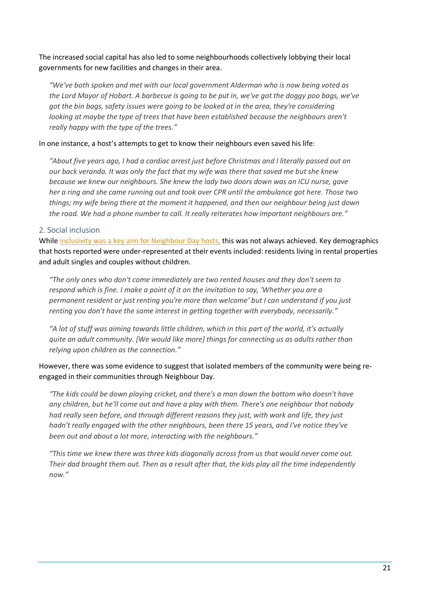The increased social capital has also led to some neighbourhoods collectively lobbying their local governments for new facilities and changes in their area.

*"We've both spoken and met with our local government Alderman who is now being voted as the Lord Mayor of Hobart. A barbecue is going to be put in, we've got the doggy poo bags, we've got the bin bags, safety issues were going to be looked at in the area, they're considering looking at maybe the type of trees that have been established because the neighbours aren't really happy with the type of the trees."*

#### In one instance, a host's attempts to get to know their neighbours even saved his life:

*"About five years ago, I had a cardiac arrest just before Christmas and I literally passed out on our back veranda. It was only the fact that my wife was there that saved me but she knew because we knew our neighbours. She knew the lady two doors down was an ICU nurse, gave her a ring and she came running out and took over CPR until the ambulance got here. Those two things; my wife being there at the moment it happened, and then our neighbour being just down the road. We had a phone number to call. It really reiterates how important neighbours are."*

#### <span id="page-20-0"></span>2. Social inclusion

Whil[e inclusivity was a key aim for Neighbour Day hosts,](#page-13-0) this was not always achieved. Key demographics that hosts reported were under-represented at their events included: residents living in rental properties and adult singles and couples without children.

*"The only ones who don't come immediately are two rented houses and they don't seem to respond which is fine. I make a point of it on the invitation to say, 'Whether you are a permanent resident or just renting you're more than welcome' but I can understand if you just renting you don't have the same interest in getting together with everybody, necessarily."*

*"A lot of stuff was aiming towards little children, which in this part of the world, it's actually quite an adult community. [We would like more] things for connecting us as adults rather than relying upon children as the connection."*

#### However, there was some evidence to suggest that isolated members of the community were being reengaged in their communities through Neighbour Day.

*"The kids could be down playing cricket, and there's a man down the bottom who doesn't have any children, but he'll come out and have a play with them. There's one neighbour that nobody had really seen before, and through different reasons they just, with work and life, they just hadn't really engaged with the other neighbours, been there 15 years, and I've notice they've been out and about a lot more, interacting with the neighbours."*

<span id="page-20-1"></span>*"This time we knew there was three kids diagonally across from us that would never come out. Their dad brought them out. Then as a result after that, the kids play all the time independently now."*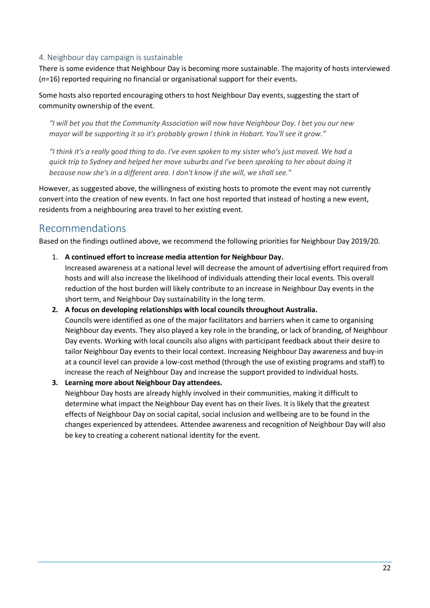#### 4. Neighbour day campaign is sustainable

There is some evidence that Neighbour Day is becoming more sustainable. The majority of hosts interviewed (*n*=16) reported requiring no financial or organisational support for their events.

Some hosts also reported encouraging others to host Neighbour Day events, suggesting the start of community ownership of the event.

*"I will bet you that the Community Association will now have Neighbour Day. I bet you our new mayor will be supporting it so it's probably grown I think in Hobart. You'll see it grow."*

*"I think it's a really good thing to do. I've even spoken to my sister who's just moved. We had a quick trip to Sydney and helped her move suburbs and I've been speaking to her about doing it because now she's in a different area. I don't know if she will, we shall see."*

However, as suggested above, the willingness of existing hosts to promote the event may not currently convert into the creation of new events. In fact one host reported that instead of hosting a new event, residents from a neighbouring area travel to her existing event.

## <span id="page-21-0"></span>Recommendations

Based on the findings outlined above, we recommend the following priorities for Neighbour Day 2019/20.

1. **A continued effort to increase media attention for Neighbour Day.**

Increased awareness at a national level will decrease the amount of advertising effort required from hosts and will also increase the likelihood of individuals attending their local events. This overall reduction of the host burden will likely contribute to an increase in Neighbour Day events in the short term, and Neighbour Day sustainability in the long term.

- **2. A focus on developing relationships with local councils throughout Australia.** Councils were identified as one of the major facilitators and barriers when it came to organising Neighbour day events. They also played a key role in the branding, or lack of branding, of Neighbour Day events. Working with local councils also aligns with participant feedback about their desire to tailor Neighbour Day events to their local context. Increasing Neighbour Day awareness and buy-in at a council level can provide a low-cost method (through the use of existing programs and staff) to increase the reach of Neighbour Day and increase the support provided to individual hosts.
- **3. Learning more about Neighbour Day attendees.**

<span id="page-21-1"></span>Neighbour Day hosts are already highly involved in their communities, making it difficult to determine what impact the Neighbour Day event has on their lives. It is likely that the greatest effects of Neighbour Day on social capital, social inclusion and wellbeing are to be found in the changes experienced by attendees. Attendee awareness and recognition of Neighbour Day will also be key to creating a coherent national identity for the event.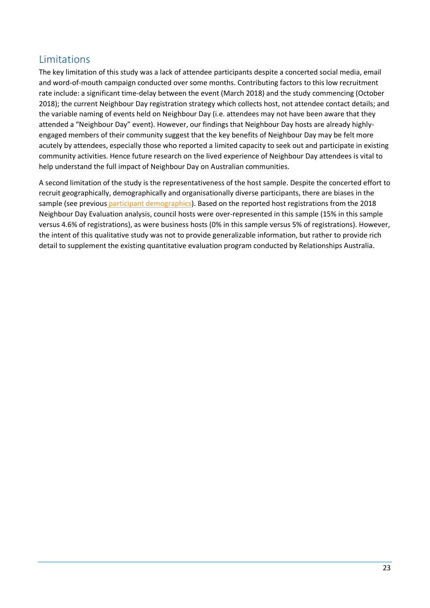## Limitations

The key limitation of this study was a lack of attendee participants despite a concerted social media, email and word-of-mouth campaign conducted over some months. Contributing factors to this low recruitment rate include: a significant time-delay between the event (March 2018) and the study commencing (October 2018); the current Neighbour Day registration strategy which collects host, not attendee contact details; and the variable naming of events held on Neighbour Day (i.e. attendees may not have been aware that they attended a "Neighbour Day" event). However, our findings that Neighbour Day hosts are already highlyengaged members of their community suggest that the key benefits of Neighbour Day may be felt more acutely by attendees, especially those who reported a limited capacity to seek out and participate in existing community activities. Hence future research on the lived experience of Neighbour Day attendees is vital to help understand the full impact of Neighbour Day on Australian communities.

A second limitation of the study is the representativeness of the host sample. Despite the concerted effort to recruit geographically, demographically and organisationally diverse participants, there are biases in the sample (see previous [participant demographics\)](#page-7-0). Based on the reported host registrations from the 2018 Neighbour Day Evaluation analysis, council hosts were over-represented in this sample (15% in this sample versus 4.6% of registrations), as were business hosts (0% in this sample versus 5% of registrations). However, the intent of this qualitative study was not to provide generalizable information, but rather to provide rich detail to supplement the existing quantitative evaluation program conducted by Relationships Australia.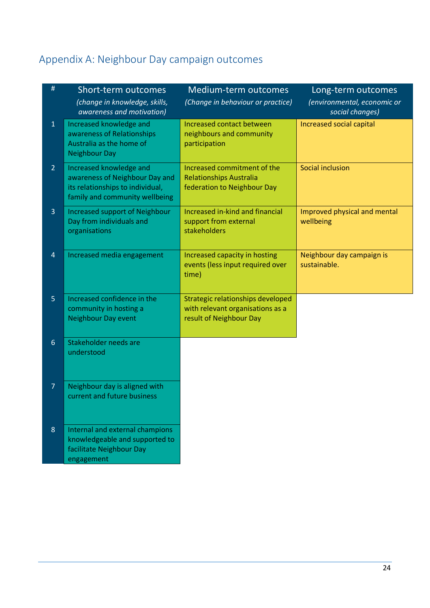# <span id="page-23-0"></span>Appendix A: Neighbour Day campaign outcomes

| #              | Short-term outcomes<br>(change in knowledge, skills,<br>awareness and motivation)                                               | Medium-term outcomes<br>(Change in behaviour or practice)                                        | Long-term outcomes<br>(environmental, economic or<br>social changes) |
|----------------|---------------------------------------------------------------------------------------------------------------------------------|--------------------------------------------------------------------------------------------------|----------------------------------------------------------------------|
| $\mathbf{1}$   | Increased knowledge and<br>awareness of Relationships<br>Australia as the home of<br><b>Neighbour Day</b>                       | Increased contact between<br>neighbours and community<br>participation                           | Increased social capital                                             |
| $\overline{2}$ | Increased knowledge and<br>awareness of Neighbour Day and<br>its relationships to individual,<br>family and community wellbeing | Increased commitment of the<br><b>Relationships Australia</b><br>federation to Neighbour Day     | Social inclusion                                                     |
| 3              | <b>Increased support of Neighbour</b><br>Day from individuals and<br>organisations                                              | Increased in-kind and financial<br>support from external<br>stakeholders                         | Improved physical and mental<br>wellbeing                            |
| $\overline{4}$ | Increased media engagement                                                                                                      | Increased capacity in hosting<br>events (less input required over<br>time)                       | Neighbour day campaign is<br>sustainable.                            |
| 5              | Increased confidence in the<br>community in hosting a<br><b>Neighbour Day event</b>                                             | Strategic relationships developed<br>with relevant organisations as a<br>result of Neighbour Day |                                                                      |
| $6\phantom{a}$ | Stakeholder needs are<br>understood                                                                                             |                                                                                                  |                                                                      |
| $\overline{7}$ | Neighbour day is aligned with<br>current and future business                                                                    |                                                                                                  |                                                                      |
| $8\phantom{1}$ | Internal and external champions<br>knowledgeable and supported to<br>facilitate Neighbour Day<br>engagement                     |                                                                                                  |                                                                      |